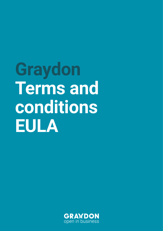**Graydon Terms and conditions EULA** 

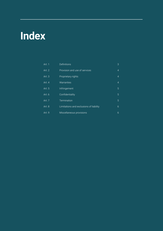# **Index**

| Art. 1   | Definitions                             | 3              |
|----------|-----------------------------------------|----------------|
| Art. 2   | Provision and use of services           | $\overline{4}$ |
| Art. $3$ | Proprietary rights                      | $\overline{4}$ |
| Art. 4   | Warranties                              | $\overline{4}$ |
| Art. 5   | Infringement                            | 5              |
| Art. 6   | Confidentiality                         | 5              |
| Art. 7   | Termination                             | 5              |
| Art. 8   | Limitations and exclusions of liability | 6              |
| Art. 9   | Miscellaneous provisions                | 6              |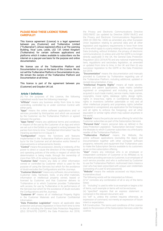# **PLEASE READ THESE LICENCE TERMS CAREFULLY!**

This licence agreement (Licence) is a legal agreement between you (Customer) and TruNarrative Limited ("TruNarrative"), whose registered office is at The Leeming Building, Vicar Lane, Leeds, LS2 7JF, United Kingdom (TruNarrative) for certain software applications and platforms which it makes available to subscribers via the internet on a pay-per-use basis for the purpose and online documentation.

We license use of the TruNarrative Platform and Documentation to you on the basis of this Licence. We do not sell the TruNarrative Platform or Documentation to you. We remain the owners of the TruNarrative Platform and Documentation at all times.

This licence is part of the agreement between you (Customer) and Graydon UK Ltd.

### **Article 1 Definitions**

(A) For the purposes of this Licence, the following capitalised words have the following meanings:

**"Affiliate"** means any business entity from time to time controlling, controlled by or under common Control with either party.

**"Apps"** means the online software applications and/ or services provided by third-parties and which are accessed by the Customer via the TruNarrative Platform or agreed between the parties.

**"Apps Terms"** means any additional terms and conditions in respect of the use by the Customer of an App and which are set out in the Exhibit or as agreed in writing between the parties from time to time. "Confidential Information" has the meaning ascribed to it in Clause 6.1.

**"Configuration"** means the functions and features implemented in the TruNarrative Platform and/or Services by/or for the Customer and all derivative works thereof or improvements or enhancements thereto.

**"Control"** means the possession, directly or indirectly, of the power to direct or cause the direction of the management and operating policies of the entity in respect of which the determination is being made, through the ownership of more than 50% of its voting or equity securities.

**"Customer Data"** means any data or other information owned or controlled by Customer which is used for the purpose of using the Services but which for the avoidance of doubt excludes the Configurations and the Journeys.

**"Customer Materials"** means any software, documentation, Customer Data, hardware, tools, or any other materials, information or intellectual property owned, leased or licensed by Customer, and that Customer delivers to TruNarrative or to which Customer provides TruNarrative with access, for use by TruNarrative in its performance of the Services but which for the avoidance of doubt excludes the Configurations and the Journeys.

**"Customer IP"** means all of Intellectual Property Rights in the Customer Materials and Customer Confidential Information.

**"Data Protection Legislation"** means all applicable data protection and privacy legislation in force from time to time in the UK including the General Data Protection Regulation ((EU) 2016/679) ('GDPR'); the Data Protection Act 2018;

the Privacy and Electronic Communications Directive 2002/58/EC (as updated by Directive 2009/136/EC) and the Privacy and Electronic Communications Regulations 2003 (SI 2003 No. 2426) as amended; any other European Union legislation relating to personal data and all other legislation and regulatory requirements in force from time to time which apply to a party relating to the use of Personal Data (including, without limitation, the privacy of electronic communications); (i) unless and until the GDPR is no longer directly applicable in the UK, the General Data Protection Regulation ((EU) 2016/679) and any national implementing laws, regulations and secondary legislation, as amended or updated from time to time, in the UK and then (ii) any successor legislation to the GDPR or the Data Protection Act 2018.

**"Documentation"** means the documentation and manuals provided to Customer by TruNarrative regarding use of the TruNarrative Platform, including additional, updated or revised documentation, if any.

**"Intellectual Property Rights"** means all trade secrets, patents and patent applications, trade marks (whether registered or unregistered and including any goodwill acquired in such trade marks), service marks, trade names, copyrights, moral rights, database rights, design rights, rights in know-how, rights in Confidential Information, rights in inventions (whether patentable or not) and all other intellectual property and proprietary rights (whether registered or unregistered, any application for the foregoing, and all rights to enforce the foregoing), and all other equivalent or similar rights which may subsist anywhere in the world.

**"Module"** means the particular service offering for which the Customer subscribes as part of the Subscription Services

**"Personal Data"** means personal data as defined in the Data Protection Legislation. "Subscription Services" means the Modules to which Customer subscribes via a third-party reseller of the TruNarrative Platform.

**"TruNarrative Platform"** means the Website, the online software applications (excluding the Apps) and Documentation together with other computer software programs, networks and equipment that TruNarrative uses to make the Subscription Service available to its customers as an on-line subscription offering.

**"User"** means any individual who is an employee or independent contractor of Customer or its Affiliates or, to the extent providing services to Customer, is an employee of such service provider, and who is authorised by Customer to use the TruNarrative Platform. Authorised Users means a User who has been prescribed with unique user credentials (consisting of a user ID and password).

**"Website"** means the website accessed via https://www. trunarrative.cloud.

The following words will be interpreted as follows:

(i)"or" connotes any combination of all or any of the items listed;

(ii) "including" is used to refer to an example or begins a list of items, such example or items will not be exclusive;

(iii) "specified" requires that an express statement is contained in the relevant document; and

(iv) "will" is, unless the context requires otherwise, an expression of command, not merely an expression of future intent or expectation.

**1.1** Construction. The terms and conditions of this Licence apply to the provision of the Subscription Services under the Licence.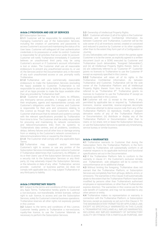# **Article 2 PROVISION AND USE OF SERVICES**

**2.1** Subscription Services

**2.1.1** Customer will be responsible for establishing and managing Customer's use of the Subscription Services, including the creation of usernames and passwords to access Customer's account and maintaining the status of its User base. Customer will safeguard all User authentication credentials in its possession or under its control. Customer is responsible for all activities that occur under its account. Customer will notify TruNarrative immediately if Customer believes an unauthorised third party may be using Customer's account or if Customer's account information is lost or stolen. The Customer shall use all reasonable endeavours to prevent any unauthorised access to, or use of, the Services and/or the Documentation and, in the event of any such unauthorised access or use, promptly notify TruNarrative.

**2.1.2** TruNarrative will use commercially reasonable endeavours to make the Subscription Services (excluding the Apps) available to Customer. TruNarrative is not responsible for and shall not be liable for any failure on the part of an Apps provider to make the Apps available other than any provided by TruNarrative itself.

**2.1.3** Customer will ensure that its Users, its Affiliates, any third-party service providers, it engages and its and their employees, agents and representatives comply with Customer's obligations under this Licence, and Customer is responsible for their acts and omissions relating to this Licence as though they were Customer's own. The Customer shall ensure that its network and systems comply with the relevant specifications provided by TruNarrative from time to time. The Customer shall be solely responsible for procuring and maintaining its network connections and telecommunications links from its systems to TruNarrative's data centres, and all problems, conditions, delays, delivery failures and all other loss or damage arising from or relating to the Customer's network connections or telecommunications links or caused by the internet.

**2.1.4** The Customer shall comply with any applicable Apps Terms.

**2.2** TruNarrative may suspend and/or terminate Customer's right to access or use any portion of the Subscription Services immediately upon notice to Customer if TruNarrative determines that Customer's, its Affiliates', or its or their Users' use of the Subscription Services (i) poses a security risk to the Subscription Services or any thirdparty, (ii) may adversely impact the Subscription Services, or the networks or data of any other TruNarrative service provider, customer or business partner, (iii) does not comply with applicable law, (iv) may subject TruNarrative or any third-party to liability.

# **Article 3 PROPRIETARY RIGHTS**

**3.1** Subject to the terms and conditions of this Licence and any Apps Terms, TruNarrative hereby grants to Customer a non-exclusive, non-transferable, limited licensee, without right to sub- licence, to access and use the Subscription Services, solely for Customer's internal business operations. TruNarrative reserves all other rights not expressly granted in this Licence.

**3.2** Subject to the terms and conditions of this Licence, Customer hereby grants to TruNarrative a non-exclusive, royalty-free licence, to use the Customer Materials as necessary to perform the Subscription Services.

**3.3** Ownership of Intellectual Property Rights.

**3.3.1** Customer will retain (i) all of its rights in the Customer Materials and Customer Confidential Information. As between Customer and TruNarrative, Customer will be the sole owner of (i) all Inventions owned, created or conceived and reduced to practice by Customer or its other suppliers other than to the extent they form part of a Configuration or Journey

(ii) any Deliverables with respect to which the parties agree Customer is to be the owner, as explicitly agreed in a written document (such as a SOW) executed by Customer and TruNarrative (such deliverables, "Assigned Deliverables"); and (iii) all Intellectual Property Rights therein. Items (i)- (iii) are collectively referred to as "Customer IP". Customer grants no licences to TruNarrative to use the Customer IP except as expressly specified in this Licence.

**3.3.2** TruNarrative will retain all of its rights in the TruNarrative Confidential Information. As between TruNarrative and Customer, TruNarrative will be the sole owner of the TruNarrative Platform and all Intellectual Property Rights therein from time to time; collectively referred to as "TruNarrative IP". TruNarrative grants no licences to Customer to use the TruNarrative IP except as expressly specified in this Licence.

**3.4** Customer will not: (i) except to the extent, if any, permitted by applicable law or required by TruNarrative's licensors, reverse assemble, reverse engineer, decompile or otherwise attempt to derive source code from any of the TruNarrative Platform; (ii) reproduce, modify, or prepare derivative works of any of the TruNarrative Platform or Documentation; (iii) distribute or display any of the TruNarrative Platform or Documentation other than to Users; or (iv) share, rent or lease the Subscription Services, or use the Subscription Services to operate any timesharing, service bureau or similar business.

### **Article 4 WARRANTIES**

**4.1** TruNarrative warrants to Customer that during the Subscription Term, the TruNarrative Platform, in the form provided by TruNarrative, will substantially conform in all material respects to its applicable technical and functional specifications set out in the Documentation.

**4.2** If the TruNarrative Platform fails to conform to the warranty in clause 4.1, the Customer's exclusive remedy and TruNarrative's sole obligation will be to correct the nonconformance at no additional charge.

**4.3** Without limiting the foregoing, TruNarrative does not warrant that the TruNarrative Platform, or Subscription Services are completely free from all bugs, defects, errors, or omissions. The warranties in this Clause 4 will automatically abate to the extent that the TruNarrative Platform have been modified by persons other than TruNarrative's authorised employees or representatives, or other than at TruNarrative's express direction. The warranties in this Licence are for the sole benefit of Customer, and may not be extended to any other person or entity.

**4.4** TruNarrative makes no representation or warranty in connection with the TruNarrative Platform, or Subscription Services, except as expressly so set out in this Clause 4. TO THE MAXIMUM EXTENT PERMITTED BY APPLICABLE LAW, EXCEPT AS SPECIFICALLY WARRANTED IN THIS CLAUSE 4, TRUNARRATIVE DISCLAIMS ALL IMPLIED WARRANTIES, INCLUDING ANY IMPLIED WARRANTY OF SATISFACTORY QUALITY OR FITNESS FOR A PARTICULAR PURPOSE, ANY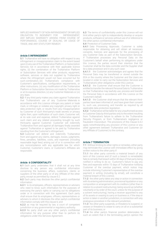IMPLIED WARRANTY OF NON-INFRINGEMENT OR IMPLIED OBLIGATION TO INDEMNIFY FOR INFRINGEMENT, ANY IMPLIED WARRANTY ARISING FROM COURSE OF PERFORMANCE, COURSE OF DEALING, OR USAGE OF TRADE, AND ANY STATUTORY REMEDY.

# **Article 5 INFRINGEMENT**

**5.1** TruNarrative will have no obligation with respect to any infringement or misappropriation claim to the extent based upon (i) any use of the TruNarrative Platform, or Subscription Services not in accordance with their applicable licence rights, (ii) the combination of the TruNarrative Platform or Subscription Services with other products, equipment, software, services or data not supplied by TruNarrative where the infringement would not have occurred but for such combination, (iii) TruNarrative's compliance with Customer's specifications, configuration requirements, or other instructions, (iv) any modification of the TruNarrative Platform or Subscription Services not made by TruNarrative or at its express direction, (v) any Customer Materials or (vi) any Apps.

**5.2** If any third party makes any claim against TruNarrative that TruNarrative's use of any Customer Materials in accordance with this Licence infringes any patent or trade mark, or infringes or violates any copyright, privacy right or data protection right, or results from any misappropriation by Customer of such third-party's trade secrets or privacy rights then, upon notification of such claim, Customer will, at its sole cost and expense, defend TruNarrative against such claim and any related proceeding brought by such third-party against Customer. Customer will indemnify TruNarrative from and against all damages finally awarded against TruNarrative or agreed to be paid by TruNarrative resulting from the Customer's infringement.

**5.3** Customer will defend and indemnify TruNarrative from and against any claims, damages, losses, judgments, fines, penalties, liabilities, costs, and expenses (including reasonable legal fees) arising out of or in connection with any noncompliance with any applicable law for which Customer, Customer's Users, or Customer's Affiliates are responsible.

### **Article 6 CONFIDENTIALITY**

**6.1** Each party undertakes that it shall not at any time disclose to any person any confidential information concerning the business, affairs, customers, clients or suppliers of the other party or of any Affiliate of the other party, except as permitted by clause 6.2.

**6.2** Each party may disclose the other party's confidential information:

**6.2.1** to its employees, officers, representatives or advisers who need to know such information for the purposes of exercising the party's rights or carrying out its obligations under or in connection with this agreement. Each party shall ensure that its employees, officers, representatives or advisers to whom it discloses the other party's confidential information comply with this clause 6; and

**6.2.2** as may be required by law, a court of competent jurisdiction or any governmental or regulatory authority.

**6.2.3** No party shall use any other party's confidential information for any purpose other than to perform its obligations under this Services Agreement.

**6.3** The terms of confidentiality under this Licence will not limit either party's right to independently develop or acquire products, software or services without use of or reference to the other party's confidential information.

**6.4** Protection of Customer Data.

**6.4.1** Data Processing Approvals. Customer is solely responsible for obtaining and will obtain all necessary consents, licences and approvals for the processing of any Customer Data as part of the Subscription Services. If TruNarrative processes any Personal Data on the Customer's behalf when performing its obligations under this Licence, the parties record their intention that the Customer shall be the data controller and the Supplier shall be a data processor and in any such case:

**6.4.1.1** the Customer acknowledges and agrees that the Personal Data may be transferred or stored outside the EEA or the country where the Customer and the Users are located in order to carry out the Subscription Services and TruNarrative's other obligations under this Licence;

**6.4.1.2** the Customer shall ensure that the Customer is entitled to transfer the relevant Personal Data to TruNarrative so that TruNarrative may lawfully use, process and transfer the Personal Data in accordance with this Licence on the Customer's behalf;

**6.4.1.3** the Customer shall ensure that the relevant thirdparties have been informed of, and have given their consent to, such use, processing, and transfer as required by all applicable data protection legislation.

**6.4.2** TruNarrative will be liable for any unauthorised access to Customer Data by third-parties only to the extent resulting from TruNarrative's failure to adhere to the TruNarrative Security Program, or from TruNarrative's negligence or fraudulent misconduct. The provisions of this Clause 6.4.2 apply notwithstanding any provision of this Licence or any other agreement between TruNarrative and Customer (or any Affiliate of Customer) to the contrary.

## **Article 7 TERMINATION**

**7.1** Without limiting its other rights or remedies, either party may terminate this Licence with immediate effect by giving written notice to the other party if:

**7.1.1** the other party commits a material breach of any term of this Licence and (if such a breach is remediable) fails to remedy that breach within 30 days of that party being notified in writing to do so Customer's failure to pay any fees and expenses within 15 days of TruNarrative notifying Customer of the overdue payment, which notice may include informing Customer's representative of the overdue payment in writing (including by email), will constitute a material breach of this Licence;

**7.1.2** the other party takes any step or action in connection with its entering administration, provisional liquidation or any composition or arrangement with its creditors (other than in relation to a solvent restructuring), being wound up (whether voluntarily or by order of the court, unless for the purpose of a solvent restructuring), having a receiver appointed to any of its assets or ceasing to carry on business or, if the step or action is taken in another jurisdiction, in connection with any analogous procedure in the relevant jurisdiction;

**7.1.3** the other party suspends, or threatens to suspend, or ceases or threatens to cease to carry on all or a substantial part of its business; or

**7.1.4** the other party's financial position deteriorates to such an extent that in the terminating party's opinion the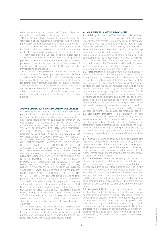other party's capability to adequately fulfil its obligations under this Licence has been placed in jeopardy.

**7.2** This Licence shall automatically terminate upon the termination of the TruNarrative agreement with the thirdparty reseller of the Subscription Services to the Customer. **7.3** Any provision of this Licence that expressly or by implication is intended to come into or continue in force on or after termination shall remain in full force and effect.

**7.4** Termination of this Licence or of any Subscription Services will not relieve Customer from any obligation to pay fees or reimburse expenses for Subscription Services performed prior to termination. Upon termination of this Licence, all sums invoiced by TruNarrative shall be immediately due and payable.

**7.5** TruNarrative will provide Customer with an export file of, or access for export purposes to, Customer Data stored on the TruNarrative Platform if, within 30 days of any termination, Customer notifies TruNarrative of Customer's request for export rights. In the absence of such notification, TruNarrative will at its discretion either destroy or overwrite such Customer Data within a reasonable period of time following termination of the Order Schedule, subject to conformance with TruNarrative's backup and data retention policies.

### **Article 8 LIMITATIONS AND EXCLUSIONS OF LIABILITY**

**8.1** Nothing in this Licence shall limit or exclude either party's liability for death or personal injury caused by its negligence; or for fraud or fraudulent misrepresentation; or any other liability that may not be excluded or limited by law. **8.2** SUBJECT TO CLAUSE 8.1, IN NO EVENT WILL EITHER PARTY BE LIABLE TO THE OTHER PARTY, OR TO ANY THIRD-PARTY FOR ANY CONSEQUENTIAL, INCIDENTAL. EXEMPLARY DAMAGES, WHETHER FORESEEABLE OR UNFORESEEABLE (INCLUDING DAMAGES FOR LOSS OF DATA OTHER THAN PERSONAL DATA, GOODWILL, DIRECT OR INDIRECT PROFITS, INVESTMENTS, USE OF MONEY OR USE OF FACILITIES; INTERRUPTION IN USE OR AVAILABILITY OF DATA; STOPPAGE OF OTHER WORK OR IMPAIRMENT OF OTHER ASSETS), EVEN IF SUCH PARTY HAS BEEN ADVISED OF THE POSSIBILITY OF SUCH DAMAGES, ARISING OUT OF (i) THE PERFORMANCE OR NONPERFORMANCE OF THIS AGREEMENT OR SOFTWARE, PRODUCTS OR SUBSCRIPTION SERVICES PROVIDED HEREUNDER, OR (ii) ANY CLAIM, CAUSE OF ACTION, BREACH OF CONTRACT OR ANY EXPRESS OR IMPLIED WARRANTY, UNDER THIS AGREEMENT OR OTHERWISE, MISREPRESENTATION, NEGLIGENCE, STRICT LIABILITY, OR OTHER TORT. Any amounts payable to a third-party pursuant to a judgment or agreed to in a settlement approved in writing by an indemnifying party in connection with an indemnification obligation under this Licence shall be deemed direct damages for purposes of this Clause 8.2. **8.3** Subject to Clause 8.1 and 8.2, TruNarrative's entire liability arising out of this Licence will in no event exceed £20,000 (twenty thousand pounds), regardless of whether any action or claim is based in contract, misrepresentation, warranty, indemnity, negligence, strict liability or other tort or otherwise.

**8.4** Customer agrees that these exclusions and limitations apply even if the remedies are insufficient to cover all of the losses or damages of Customer, or fail of their essential purpose and that without these limitations the fees for the Subscription Services would be significantly higher.

# **Article 9 MISCELLANEOUS PROVISIONS**

**9.1 Publicity.** Provided that TruNarrative complies with any trade mark usage requirements notified to it by Customer, TruNarrative may refer to Customer as one of TruNarrative's customers and use Customer's logo as part of such reference. Upon execution of this Licence, TruNarrative may either (i) issue a press release announcing the relationship between TruNarrative and Customer, or (ii) submit a joint press release to Customer for Customer's approval, such approval not to be unreasonably withheld or delayed. Customer agrees to be a reference account for TruNarrative, provided, however, that TruNarrative will provide Customer with reasonable notice and obtain Customer's consent before scheduling any reference calls or site visits.

**9.2 Force Majeure.** If the performance of this Licence is adversely restricted or if either party is unable to conform to any warranty by reason of any circumstances beyond the reasonable control and without the fault or negligence of the party affected, then, except with respect to obligations to pay any fees or expenses, the party affected, upon giving prompt written notice to the other party, will be excused from such performance on a day-to-day basis to the extent of such restriction (and the other party will likewise be excused from performance of its obligations on a day-to- day basis to the extent such party's obligations relate to the performance so restricted); provided, however, that the party so affected will use all commercially reasonable endeavours to avoid or remove such causes of non-performance and both parties will proceed whenever such causes are removed or cease.

9.3 **Severability; Invalidity.** If any provision (or part of a provision) of this Licence is found by any court or administrative body of competent jurisdiction to be invalid, unenforceable or illegal, the other provisions shall remain in force. If any invalid, unenforceable or illegal provisions would be valid, enforceable or legal if some part of it were deleted, the provisions shall apply with whatever modification is necessary to give effect to the commercial intentions of the parties.

**9.4 Waiver.** No failure or delay by a party to exercise any right or remedy provided under this Licence or by law shall constitute a waiver of that or any other right or remedy, nor shall it prevent or restrict the further exercise of that or any other right or remedy. No single or partial exercise of such right or remedy shall prevent or restrict the further exercise of that or any right or remedy.

**9.5 Third Parties**. Except as expressly set out in this Licence, no provisions of this Licence are intended nor will be interpreted to provide or create any third-party beneficiary rights or any other rights of any kind in any other party. Notwithstanding the foregoing, TruNarrative's suppliers of products and services furnished hereunder will enjoy the same disclaimers of warranty, limitations on liability and similar exclusionary provisions with respect to such products and services as does TruNarrative and the provider of any Apps shall be entitled to enforce the Apps Terms.

**9.6 Assignment.** Neither party may assign any of its rights or obligations under this Licence without the prior written consent of the other, which will not be unreasonably withheld, conditioned or delayed, however TruNarrative may assign or delegate some or all of its rights and obligations under this Licence to any of its Affiliates, or to an entity to which it has merged, or that acquires all of its assets. Subject to the foregoing restriction on assignment by Customer, this Licence will be binding upon, inure to the benefit of and be enforceable by the parties and their respective successors and assigns.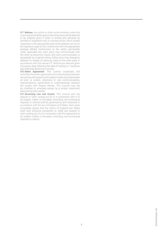**9.7 Notices.** Any notice or other communication under this Licence given by either party to the other party will be deemed to be properly given if given in writing and delivered by certified or registered mail, or insured courier, return receipt requested, to the appropriate party at the address set out on the signature page of this Licence and with the appropriate postage affixed; furthermore, to the extent permissible under applicable law, each party may communicate with the other by electronic means and such communication is acceptable as a signed writing. Either party may change its address for receipt of notice by notice to the other party in accordance with this clause 9.7. Notices are deemed given 3 business days following the date of mailing or 1 business day following delivery by a courier.

**9.8 Entire Agreement**. This Licence constitutes and embodies the entire agreement and understanding between the parties with respect to the subject matter and supersedes all prior or written, electronic or oral communications, representations, agreements or understandings between the parties with respect thereto. This Licence may not be modified or amended except by a written instrument executed by both parties.

**9.9 Governing Law and Courts.** This Licence and any dispute or claim arising out of or in connection with it or its subject matter or formation (including non-contractual disputes or claims) shall be governed by and construed in accordance with the law of England and Wales. Each party irrevocably agrees that the courts of England and Wales shall have exclusive jurisdiction to settle any dispute or claim arising out of or in connection with this agreement or its subject matter or formation (including non-contractual disputes or claims).